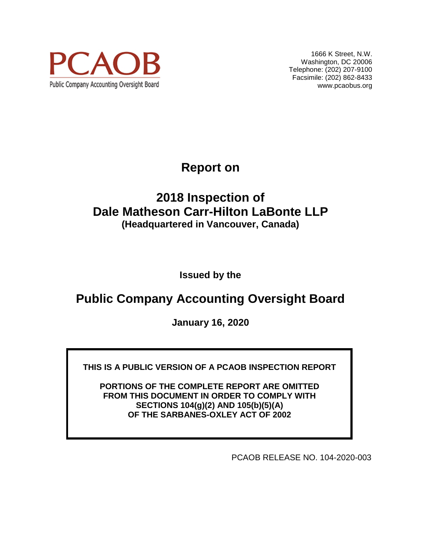

1666 K Street, N.W. Washington, DC 20006 Telephone: (202) 207-9100 Facsimile: (202) 862-8433 www.pcaobus.org

**Report on** 

# **2018 Inspection of Dale Matheson Carr-Hilton LaBonte LLP (Headquartered in Vancouver, Canada)**

**Issued by the** 

# **Public Company Accounting Oversight Board**

**January 16, 2020** 

**THIS IS A PUBLIC VERSION OF A PCAOB INSPECTION REPORT** 

**PORTIONS OF THE COMPLETE REPORT ARE OMITTED FROM THIS DOCUMENT IN ORDER TO COMPLY WITH SECTIONS 104(g)(2) AND 105(b)(5)(A) OF THE SARBANES-OXLEY ACT OF 2002** 

PCAOB RELEASE NO. 104-2020-003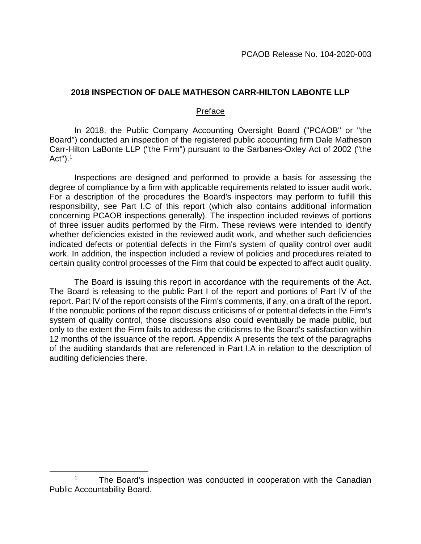### **2018 INSPECTION OF DALE MATHESON CARR-HILTON LABONTE LLP**

### Preface

In 2018, the Public Company Accounting Oversight Board ("PCAOB" or "the Board") conducted an inspection of the registered public accounting firm Dale Matheson Carr-Hilton LaBonte LLP ("the Firm") pursuant to the Sarbanes-Oxley Act of 2002 ("the Act" $)$ .<sup>1</sup>

Inspections are designed and performed to provide a basis for assessing the degree of compliance by a firm with applicable requirements related to issuer audit work. For a description of the procedures the Board's inspectors may perform to fulfill this responsibility, see Part I.C of this report (which also contains additional information concerning PCAOB inspections generally). The inspection included reviews of portions of three issuer audits performed by the Firm. These reviews were intended to identify whether deficiencies existed in the reviewed audit work, and whether such deficiencies indicated defects or potential defects in the Firm's system of quality control over audit work. In addition, the inspection included a review of policies and procedures related to certain quality control processes of the Firm that could be expected to affect audit quality.

The Board is issuing this report in accordance with the requirements of the Act. The Board is releasing to the public Part I of the report and portions of Part IV of the report. Part IV of the report consists of the Firm's comments, if any, on a draft of the report. If the nonpublic portions of the report discuss criticisms of or potential defects in the Firm's system of quality control, those discussions also could eventually be made public, but only to the extent the Firm fails to address the criticisms to the Board's satisfaction within 12 months of the issuance of the report. Appendix A presents the text of the paragraphs of the auditing standards that are referenced in Part I.A in relation to the description of auditing deficiencies there.

<sup>1</sup> The Board's inspection was conducted in cooperation with the Canadian Public Accountability Board.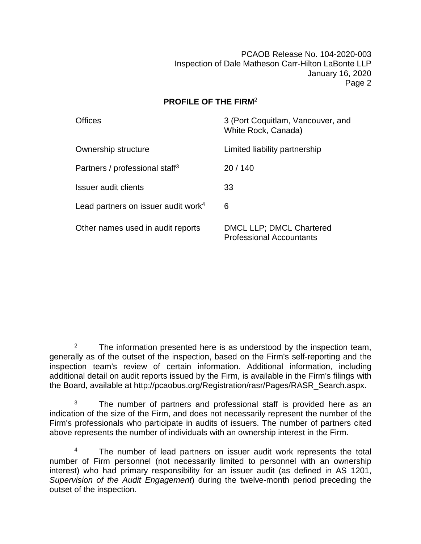# **PROFILE OF THE FIRM**<sup>2</sup>

| Offices                                         | 3 (Port Coquitlam, Vancouver, and<br>White Rock, Canada)           |
|-------------------------------------------------|--------------------------------------------------------------------|
| Ownership structure                             | Limited liability partnership                                      |
| Partners / professional staff <sup>3</sup>      | 20/140                                                             |
| Issuer audit clients                            | 33                                                                 |
| Lead partners on issuer audit work <sup>4</sup> | 6                                                                  |
| Other names used in audit reports               | <b>DMCL LLP; DMCL Chartered</b><br><b>Professional Accountants</b> |

 $\overline{a}$ 

<sup>&</sup>lt;sup>2</sup> The information presented here is as understood by the inspection team, generally as of the outset of the inspection, based on the Firm's self-reporting and the inspection team's review of certain information. Additional information, including additional detail on audit reports issued by the Firm, is available in the Firm's filings with the Board, available at http://pcaobus.org/Registration/rasr/Pages/RASR\_Search.aspx.

<sup>&</sup>lt;sup>3</sup> The number of partners and professional staff is provided here as an indication of the size of the Firm, and does not necessarily represent the number of the Firm's professionals who participate in audits of issuers. The number of partners cited above represents the number of individuals with an ownership interest in the Firm.

<sup>&</sup>lt;sup>4</sup> The number of lead partners on issuer audit work represents the total number of Firm personnel (not necessarily limited to personnel with an ownership interest) who had primary responsibility for an issuer audit (as defined in AS 1201, *Supervision of the Audit Engagement*) during the twelve-month period preceding the outset of the inspection.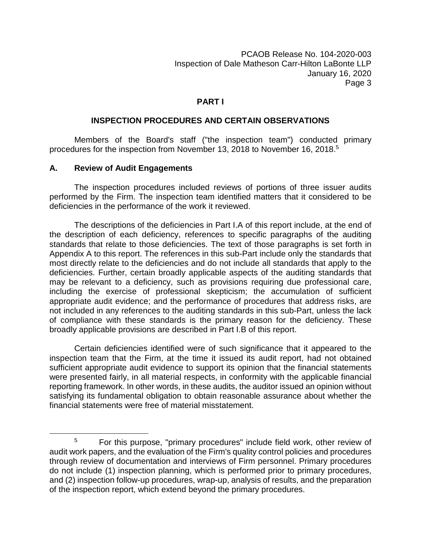### **PART I**

### **INSPECTION PROCEDURES AND CERTAIN OBSERVATIONS**

Members of the Board's staff ("the inspection team") conducted primary procedures for the inspection from November 13, 2018 to November 16, 2018.<sup>5</sup>

### **A. Review of Audit Engagements**

 $\overline{a}$ 

The inspection procedures included reviews of portions of three issuer audits performed by the Firm. The inspection team identified matters that it considered to be deficiencies in the performance of the work it reviewed.

The descriptions of the deficiencies in Part I.A of this report include, at the end of the description of each deficiency, references to specific paragraphs of the auditing standards that relate to those deficiencies. The text of those paragraphs is set forth in Appendix A to this report. The references in this sub-Part include only the standards that most directly relate to the deficiencies and do not include all standards that apply to the deficiencies. Further, certain broadly applicable aspects of the auditing standards that may be relevant to a deficiency, such as provisions requiring due professional care, including the exercise of professional skepticism; the accumulation of sufficient appropriate audit evidence; and the performance of procedures that address risks, are not included in any references to the auditing standards in this sub-Part, unless the lack of compliance with these standards is the primary reason for the deficiency. These broadly applicable provisions are described in Part I.B of this report.

Certain deficiencies identified were of such significance that it appeared to the inspection team that the Firm, at the time it issued its audit report, had not obtained sufficient appropriate audit evidence to support its opinion that the financial statements were presented fairly, in all material respects, in conformity with the applicable financial reporting framework. In other words, in these audits, the auditor issued an opinion without satisfying its fundamental obligation to obtain reasonable assurance about whether the financial statements were free of material misstatement.

<sup>5</sup> For this purpose, "primary procedures" include field work, other review of audit work papers, and the evaluation of the Firm's quality control policies and procedures through review of documentation and interviews of Firm personnel. Primary procedures do not include (1) inspection planning, which is performed prior to primary procedures, and (2) inspection follow-up procedures, wrap-up, analysis of results, and the preparation of the inspection report, which extend beyond the primary procedures.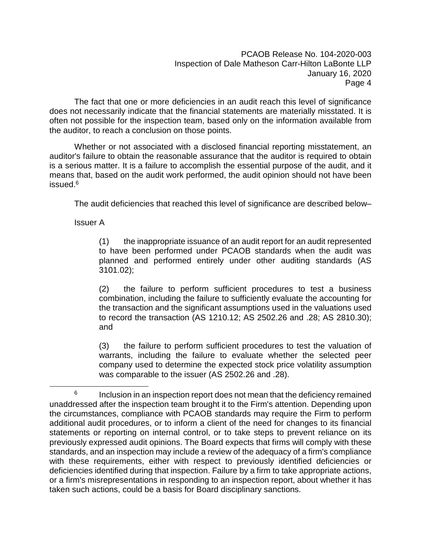The fact that one or more deficiencies in an audit reach this level of significance does not necessarily indicate that the financial statements are materially misstated. It is often not possible for the inspection team, based only on the information available from the auditor, to reach a conclusion on those points.

Whether or not associated with a disclosed financial reporting misstatement, an auditor's failure to obtain the reasonable assurance that the auditor is required to obtain is a serious matter. It is a failure to accomplish the essential purpose of the audit, and it means that, based on the audit work performed, the audit opinion should not have been issued.<sup>6</sup>

The audit deficiencies that reached this level of significance are described below–

Issuer A

 $\overline{a}$ 

(1) the inappropriate issuance of an audit report for an audit represented to have been performed under PCAOB standards when the audit was planned and performed entirely under other auditing standards (AS 3101.02);

(2) the failure to perform sufficient procedures to test a business combination, including the failure to sufficiently evaluate the accounting for the transaction and the significant assumptions used in the valuations used to record the transaction (AS 1210.12; AS 2502.26 and .28; AS 2810.30); and

(3) the failure to perform sufficient procedures to test the valuation of warrants, including the failure to evaluate whether the selected peer company used to determine the expected stock price volatility assumption was comparable to the issuer (AS 2502.26 and .28).

<sup>6</sup> Inclusion in an inspection report does not mean that the deficiency remained unaddressed after the inspection team brought it to the Firm's attention. Depending upon the circumstances, compliance with PCAOB standards may require the Firm to perform additional audit procedures, or to inform a client of the need for changes to its financial statements or reporting on internal control, or to take steps to prevent reliance on its previously expressed audit opinions. The Board expects that firms will comply with these standards, and an inspection may include a review of the adequacy of a firm's compliance with these requirements, either with respect to previously identified deficiencies or deficiencies identified during that inspection. Failure by a firm to take appropriate actions, or a firm's misrepresentations in responding to an inspection report, about whether it has taken such actions, could be a basis for Board disciplinary sanctions.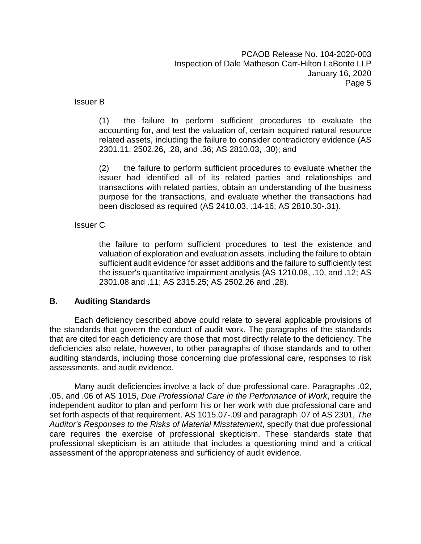Issuer B

(1) the failure to perform sufficient procedures to evaluate the accounting for, and test the valuation of, certain acquired natural resource related assets, including the failure to consider contradictory evidence (AS 2301.11; 2502.26, .28, and .36; AS 2810.03, .30); and

(2) the failure to perform sufficient procedures to evaluate whether the issuer had identified all of its related parties and relationships and transactions with related parties, obtain an understanding of the business purpose for the transactions, and evaluate whether the transactions had been disclosed as required (AS 2410.03, .14-16; AS 2810.30-.31).

Issuer C

the failure to perform sufficient procedures to test the existence and valuation of exploration and evaluation assets, including the failure to obtain sufficient audit evidence for asset additions and the failure to sufficiently test the issuer's quantitative impairment analysis (AS 1210.08, .10, and .12; AS 2301.08 and .11; AS 2315.25; AS 2502.26 and .28).

### **B. Auditing Standards**

Each deficiency described above could relate to several applicable provisions of the standards that govern the conduct of audit work. The paragraphs of the standards that are cited for each deficiency are those that most directly relate to the deficiency. The deficiencies also relate, however, to other paragraphs of those standards and to other auditing standards, including those concerning due professional care, responses to risk assessments, and audit evidence.

Many audit deficiencies involve a lack of due professional care. Paragraphs .02, .05, and .06 of AS 1015, *Due Professional Care in the Performance of Work*, require the independent auditor to plan and perform his or her work with due professional care and set forth aspects of that requirement. AS 1015.07-.09 and paragraph .07 of AS 2301, *The Auditor's Responses to the Risks of Material Misstatement*, specify that due professional care requires the exercise of professional skepticism. These standards state that professional skepticism is an attitude that includes a questioning mind and a critical assessment of the appropriateness and sufficiency of audit evidence.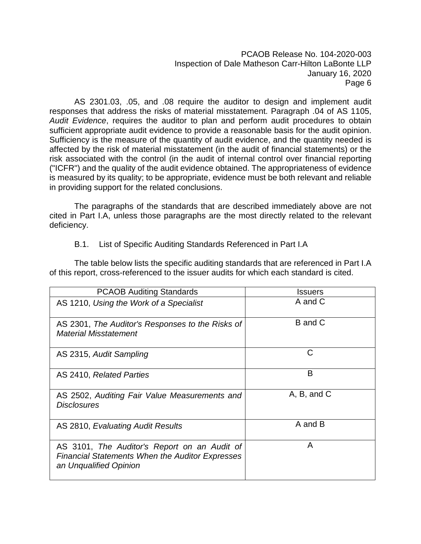AS 2301.03, .05, and .08 require the auditor to design and implement audit responses that address the risks of material misstatement. Paragraph .04 of AS 1105, *Audit Evidence*, requires the auditor to plan and perform audit procedures to obtain sufficient appropriate audit evidence to provide a reasonable basis for the audit opinion. Sufficiency is the measure of the quantity of audit evidence, and the quantity needed is affected by the risk of material misstatement (in the audit of financial statements) or the risk associated with the control (in the audit of internal control over financial reporting ("ICFR") and the quality of the audit evidence obtained. The appropriateness of evidence is measured by its quality; to be appropriate, evidence must be both relevant and reliable in providing support for the related conclusions.

The paragraphs of the standards that are described immediately above are not cited in Part I.A, unless those paragraphs are the most directly related to the relevant deficiency.

B.1. List of Specific Auditing Standards Referenced in Part I.A

The table below lists the specific auditing standards that are referenced in Part I.A of this report, cross-referenced to the issuer audits for which each standard is cited.

| <b>PCAOB Auditing Standards</b>                                                                                                  | Issuers     |
|----------------------------------------------------------------------------------------------------------------------------------|-------------|
| AS 1210, Using the Work of a Specialist                                                                                          | A and C     |
| AS 2301, The Auditor's Responses to the Risks of<br><b>Material Misstatement</b>                                                 | B and C     |
| AS 2315, Audit Sampling                                                                                                          | С           |
| AS 2410, Related Parties                                                                                                         | B           |
| AS 2502, Auditing Fair Value Measurements and<br><b>Disclosures</b>                                                              | A, B, and C |
| AS 2810, Evaluating Audit Results                                                                                                | A and B     |
| AS 3101, The Auditor's Report on an Audit of<br><b>Financial Statements When the Auditor Expresses</b><br>an Unqualified Opinion | A           |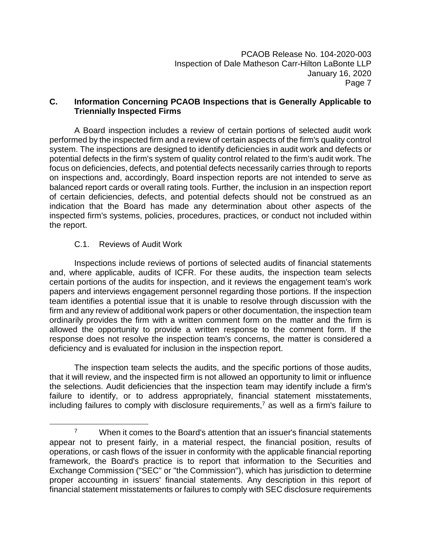# **C. Information Concerning PCAOB Inspections that is Generally Applicable to Triennially Inspected Firms**

A Board inspection includes a review of certain portions of selected audit work performed by the inspected firm and a review of certain aspects of the firm's quality control system. The inspections are designed to identify deficiencies in audit work and defects or potential defects in the firm's system of quality control related to the firm's audit work. The focus on deficiencies, defects, and potential defects necessarily carries through to reports on inspections and, accordingly, Board inspection reports are not intended to serve as balanced report cards or overall rating tools. Further, the inclusion in an inspection report of certain deficiencies, defects, and potential defects should not be construed as an indication that the Board has made any determination about other aspects of the inspected firm's systems, policies, procedures, practices, or conduct not included within the report.

# C.1. Reviews of Audit Work

 $\overline{a}$ 

Inspections include reviews of portions of selected audits of financial statements and, where applicable, audits of ICFR. For these audits, the inspection team selects certain portions of the audits for inspection, and it reviews the engagement team's work papers and interviews engagement personnel regarding those portions. If the inspection team identifies a potential issue that it is unable to resolve through discussion with the firm and any review of additional work papers or other documentation, the inspection team ordinarily provides the firm with a written comment form on the matter and the firm is allowed the opportunity to provide a written response to the comment form. If the response does not resolve the inspection team's concerns, the matter is considered a deficiency and is evaluated for inclusion in the inspection report.

The inspection team selects the audits, and the specific portions of those audits, that it will review, and the inspected firm is not allowed an opportunity to limit or influence the selections. Audit deficiencies that the inspection team may identify include a firm's failure to identify, or to address appropriately, financial statement misstatements, including failures to comply with disclosure requirements,<sup>7</sup> as well as a firm's failure to

 $7$  When it comes to the Board's attention that an issuer's financial statements appear not to present fairly, in a material respect, the financial position, results of operations, or cash flows of the issuer in conformity with the applicable financial reporting framework, the Board's practice is to report that information to the Securities and Exchange Commission ("SEC" or "the Commission"), which has jurisdiction to determine proper accounting in issuers' financial statements. Any description in this report of financial statement misstatements or failures to comply with SEC disclosure requirements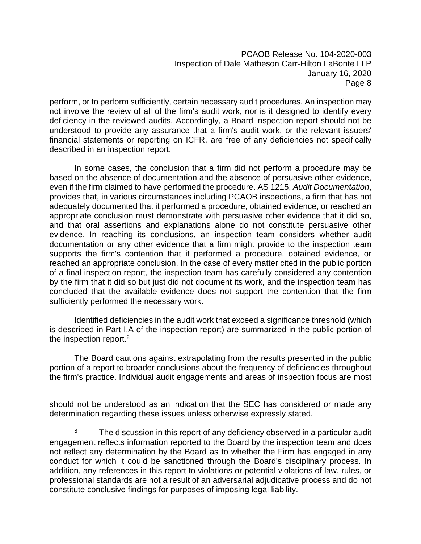perform, or to perform sufficiently, certain necessary audit procedures. An inspection may not involve the review of all of the firm's audit work, nor is it designed to identify every deficiency in the reviewed audits. Accordingly, a Board inspection report should not be understood to provide any assurance that a firm's audit work, or the relevant issuers' financial statements or reporting on ICFR, are free of any deficiencies not specifically described in an inspection report.

In some cases, the conclusion that a firm did not perform a procedure may be based on the absence of documentation and the absence of persuasive other evidence, even if the firm claimed to have performed the procedure. AS 1215, *Audit Documentation*, provides that, in various circumstances including PCAOB inspections, a firm that has not adequately documented that it performed a procedure, obtained evidence, or reached an appropriate conclusion must demonstrate with persuasive other evidence that it did so, and that oral assertions and explanations alone do not constitute persuasive other evidence. In reaching its conclusions, an inspection team considers whether audit documentation or any other evidence that a firm might provide to the inspection team supports the firm's contention that it performed a procedure, obtained evidence, or reached an appropriate conclusion. In the case of every matter cited in the public portion of a final inspection report, the inspection team has carefully considered any contention by the firm that it did so but just did not document its work, and the inspection team has concluded that the available evidence does not support the contention that the firm sufficiently performed the necessary work.

Identified deficiencies in the audit work that exceed a significance threshold (which is described in Part I.A of the inspection report) are summarized in the public portion of the inspection report.<sup>8</sup>

The Board cautions against extrapolating from the results presented in the public portion of a report to broader conclusions about the frequency of deficiencies throughout the firm's practice. Individual audit engagements and areas of inspection focus are most

 $\overline{a}$ 

should not be understood as an indication that the SEC has considered or made any determination regarding these issues unless otherwise expressly stated.

<sup>&</sup>lt;sup>8</sup> The discussion in this report of any deficiency observed in a particular audit engagement reflects information reported to the Board by the inspection team and does not reflect any determination by the Board as to whether the Firm has engaged in any conduct for which it could be sanctioned through the Board's disciplinary process. In addition, any references in this report to violations or potential violations of law, rules, or professional standards are not a result of an adversarial adjudicative process and do not constitute conclusive findings for purposes of imposing legal liability.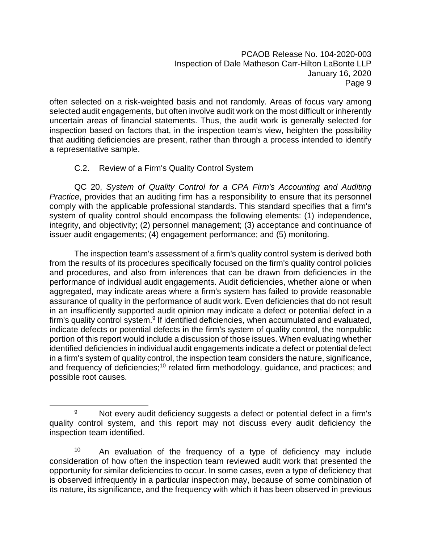often selected on a risk-weighted basis and not randomly. Areas of focus vary among selected audit engagements, but often involve audit work on the most difficult or inherently uncertain areas of financial statements. Thus, the audit work is generally selected for inspection based on factors that, in the inspection team's view, heighten the possibility that auditing deficiencies are present, rather than through a process intended to identify a representative sample.

### C.2. Review of a Firm's Quality Control System

 $\overline{a}$ 

QC 20, *System of Quality Control for a CPA Firm's Accounting and Auditing Practice*, provides that an auditing firm has a responsibility to ensure that its personnel comply with the applicable professional standards. This standard specifies that a firm's system of quality control should encompass the following elements: (1) independence, integrity, and objectivity; (2) personnel management; (3) acceptance and continuance of issuer audit engagements; (4) engagement performance; and (5) monitoring.

The inspection team's assessment of a firm's quality control system is derived both from the results of its procedures specifically focused on the firm's quality control policies and procedures, and also from inferences that can be drawn from deficiencies in the performance of individual audit engagements. Audit deficiencies, whether alone or when aggregated, may indicate areas where a firm's system has failed to provide reasonable assurance of quality in the performance of audit work. Even deficiencies that do not result in an insufficiently supported audit opinion may indicate a defect or potential defect in a firm's quality control system.<sup>9</sup> If identified deficiencies, when accumulated and evaluated, indicate defects or potential defects in the firm's system of quality control, the nonpublic portion of this report would include a discussion of those issues. When evaluating whether identified deficiencies in individual audit engagements indicate a defect or potential defect in a firm's system of quality control, the inspection team considers the nature, significance, and frequency of deficiencies;<sup>10</sup> related firm methodology, guidance, and practices; and possible root causes.

<sup>&</sup>lt;sup>9</sup> Not every audit deficiency suggests a defect or potential defect in a firm's quality control system, and this report may not discuss every audit deficiency the inspection team identified.

<sup>&</sup>lt;sup>10</sup> An evaluation of the frequency of a type of deficiency may include consideration of how often the inspection team reviewed audit work that presented the opportunity for similar deficiencies to occur. In some cases, even a type of deficiency that is observed infrequently in a particular inspection may, because of some combination of its nature, its significance, and the frequency with which it has been observed in previous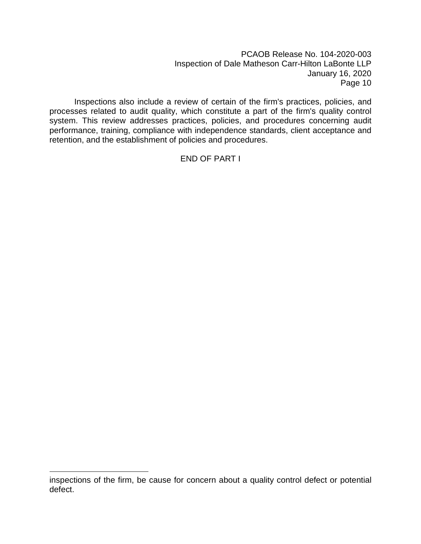Inspections also include a review of certain of the firm's practices, policies, and processes related to audit quality, which constitute a part of the firm's quality control system. This review addresses practices, policies, and procedures concerning audit performance, training, compliance with independence standards, client acceptance and retention, and the establishment of policies and procedures.

### END OF PART I

inspections of the firm, be cause for concern about a quality control defect or potential defect.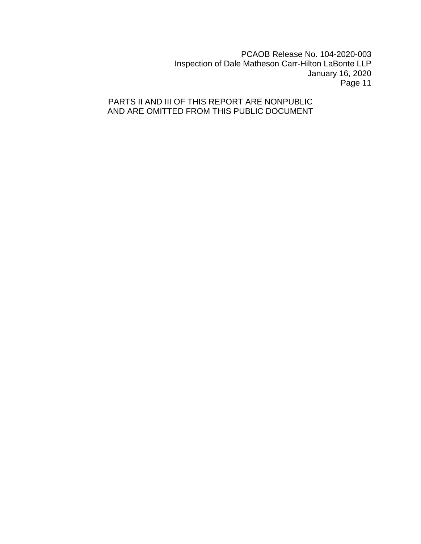# PARTS II AND III OF THIS REPORT ARE NONPUBLIC AND ARE OMITTED FROM THIS PUBLIC DOCUMENT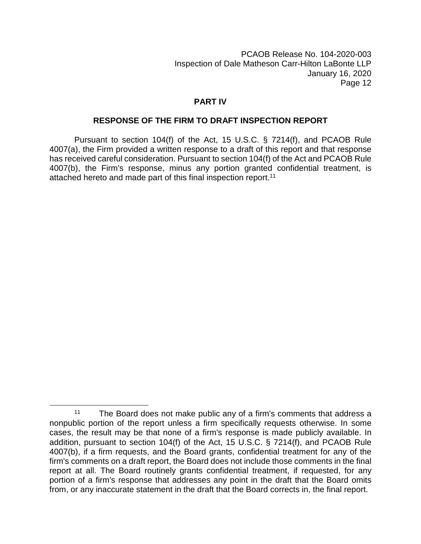### **PART IV**

### **RESPONSE OF THE FIRM TO DRAFT INSPECTION REPORT**

Pursuant to section 104(f) of the Act, 15 U.S.C. § 7214(f), and PCAOB Rule 4007(a), the Firm provided a written response to a draft of this report and that response has received careful consideration. Pursuant to section 104(f) of the Act and PCAOB Rule 4007(b), the Firm's response, minus any portion granted confidential treatment, is attached hereto and made part of this final inspection report.<sup>11</sup>

 $\overline{a}$ 

<sup>&</sup>lt;sup>11</sup> The Board does not make public any of a firm's comments that address a nonpublic portion of the report unless a firm specifically requests otherwise. In some cases, the result may be that none of a firm's response is made publicly available. In addition, pursuant to section 104(f) of the Act, 15 U.S.C. § 7214(f), and PCAOB Rule 4007(b), if a firm requests, and the Board grants, confidential treatment for any of the firm's comments on a draft report, the Board does not include those comments in the final report at all. The Board routinely grants confidential treatment, if requested, for any portion of a firm's response that addresses any point in the draft that the Board omits from, or any inaccurate statement in the draft that the Board corrects in, the final report.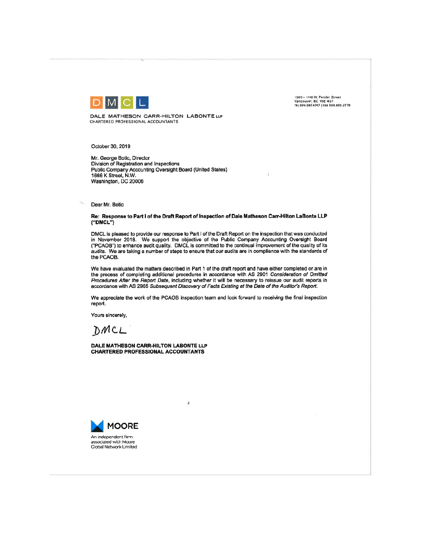

DALE MATHESON CARR-HILTON LABONTE LLP CHARTERED PROFESSIONAL ACCOUNTANTS

October 30, 2019

Mr. George Botic, Director Division of Registration and Inspections Public Company Accounting Oversight Board (United States) 1666 K Street, N.W. Washington, DC 20006

Dear Mr. Botic

#### Re: Response to Part I of the Draft Report of Inspection of Dale Matheson Carr-Hilton LaBonte LLP ("DMCL")

DMCL is pleased to provide our response to Part I of the Draft Report on the inspection that was conducted in November 2018. We support the objective of the Public Company Accounting Oversight Board ("PCAOB") to enhance audit quality. DMCL is committed to the continual improvement of the quality of its audits. We are taking a number of steps to ensure that our audits are in compliance with the standards of the PCAOB.

We have evaluated the matters described in Part 1 of the draft report and have either completed or are in the process of completing additional procedures in accordance with AS 2901 Consideration of Omitted Procedures After the Report Date, including whether it will be necessary to reissue our audit reports in accordance with AS 2905 Subsequent Discovery of Facts Existing at the Date of the Auditor's Report.

We appreciate the work of the PCAOB inspection team and look forward to receiving the final inspection report.

 $\overline{1}$ 

Yours sincerely.

DMCL

**DALE MATHESON CARR-HILTON LABONTE LLP CHARTERED PROFESSIONAL ACCOUNTANTS** 



1500 - 1140 W. Pender Street<br>Vancouver, BC V6E 4G1<br>TEL 604.687.4747 | FAX 604.689.2778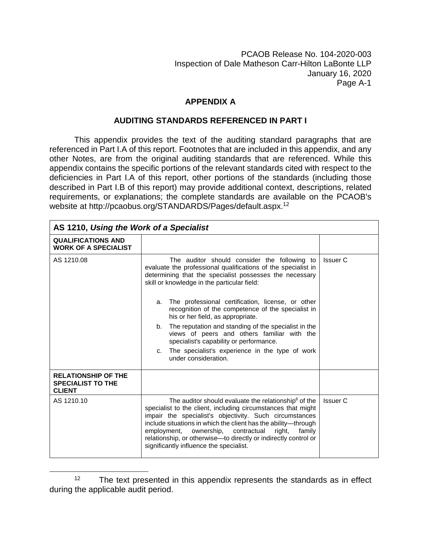# **APPENDIX A**

### **AUDITING STANDARDS REFERENCED IN PART I**

This appendix provides the text of the auditing standard paragraphs that are referenced in Part I.A of this report. Footnotes that are included in this appendix, and any other Notes, are from the original auditing standards that are referenced. While this appendix contains the specific portions of the relevant standards cited with respect to the deficiencies in Part I.A of this report, other portions of the standards (including those described in Part I.B of this report) may provide additional context, descriptions, related requirements, or explanations; the complete standards are available on the PCAOB's website at http://pcaobus.org/STANDARDS/Pages/default.aspx.<sup>12</sup>

| AS 1210, Using the Work of a Specialist                                 |                                                                                                                                                                                                                                                                                                                                                                                                                                             |          |
|-------------------------------------------------------------------------|---------------------------------------------------------------------------------------------------------------------------------------------------------------------------------------------------------------------------------------------------------------------------------------------------------------------------------------------------------------------------------------------------------------------------------------------|----------|
| <b>QUALIFICATIONS AND</b><br><b>WORK OF A SPECIALIST</b>                |                                                                                                                                                                                                                                                                                                                                                                                                                                             |          |
| AS 1210.08                                                              | The auditor should consider the following to<br>evaluate the professional qualifications of the specialist in<br>determining that the specialist possesses the necessary<br>skill or knowledge in the particular field:                                                                                                                                                                                                                     | Issuer C |
|                                                                         | The professional certification, license, or other<br>a.<br>recognition of the competence of the specialist in<br>his or her field, as appropriate.                                                                                                                                                                                                                                                                                          |          |
|                                                                         | b. The reputation and standing of the specialist in the<br>views of peers and others familiar with the<br>specialist's capability or performance.                                                                                                                                                                                                                                                                                           |          |
|                                                                         | The specialist's experience in the type of work<br>C.<br>under consideration.                                                                                                                                                                                                                                                                                                                                                               |          |
| <b>RELATIONSHIP OF THE</b><br><b>SPECIALIST TO THE</b><br><b>CLIENT</b> |                                                                                                                                                                                                                                                                                                                                                                                                                                             |          |
| AS 1210.10                                                              | The auditor should evaluate the relationship <sup>6</sup> of the<br>specialist to the client, including circumstances that might<br>impair the specialist's objectivity. Such circumstances<br>include situations in which the client has the ability—through<br>employment,<br>ownership,<br>contractual<br>right,<br>family<br>relationship, or otherwise-to directly or indirectly control or<br>significantly influence the specialist. | Issuer C |

 $12$  The text presented in this appendix represents the standards as in effect during the applicable audit period.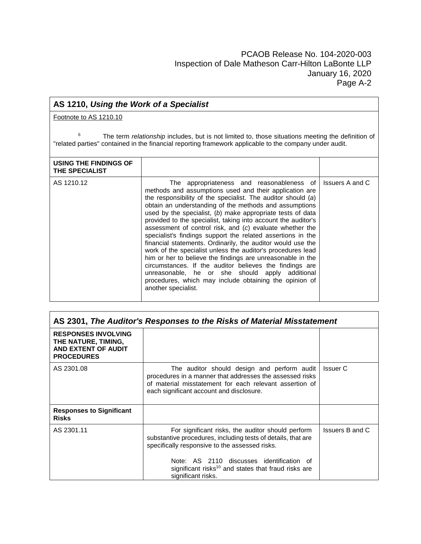| AS 1210, Using the Work of a Specialist                                                                                                                                                                           |                                                                                                                                                                                                                                                                                                                                                                                                                                                                                                                                                                                                                                                                                                                                                                                                                                                                                      |                 |  |
|-------------------------------------------------------------------------------------------------------------------------------------------------------------------------------------------------------------------|--------------------------------------------------------------------------------------------------------------------------------------------------------------------------------------------------------------------------------------------------------------------------------------------------------------------------------------------------------------------------------------------------------------------------------------------------------------------------------------------------------------------------------------------------------------------------------------------------------------------------------------------------------------------------------------------------------------------------------------------------------------------------------------------------------------------------------------------------------------------------------------|-----------------|--|
| Footnote to AS 1210.10                                                                                                                                                                                            |                                                                                                                                                                                                                                                                                                                                                                                                                                                                                                                                                                                                                                                                                                                                                                                                                                                                                      |                 |  |
| 6<br>The term relationship includes, but is not limited to, those situations meeting the definition of<br>"related parties" contained in the financial reporting framework applicable to the company under audit. |                                                                                                                                                                                                                                                                                                                                                                                                                                                                                                                                                                                                                                                                                                                                                                                                                                                                                      |                 |  |
| USING THE FINDINGS OF<br>THE SPECIALIST                                                                                                                                                                           |                                                                                                                                                                                                                                                                                                                                                                                                                                                                                                                                                                                                                                                                                                                                                                                                                                                                                      |                 |  |
| AS 1210.12                                                                                                                                                                                                        | The appropriateness and reasonableness of<br>methods and assumptions used and their application are<br>the responsibility of the specialist. The auditor should $(a)$<br>obtain an understanding of the methods and assumptions<br>used by the specialist, (b) make appropriate tests of data<br>provided to the specialist, taking into account the auditor's<br>assessment of control risk, and (c) evaluate whether the<br>specialist's findings support the related assertions in the<br>financial statements. Ordinarily, the auditor would use the<br>work of the specialist unless the auditor's procedures lead<br>him or her to believe the findings are unreasonable in the<br>circumstances. If the auditor believes the findings are<br>unreasonable, he or she should apply additional<br>procedures, which may include obtaining the opinion of<br>another specialist. | Issuers A and C |  |

| AS 2301, The Auditor's Responses to the Risks of Material Misstatement                                                                                                                                                                                                              |                    |  |  |
|-------------------------------------------------------------------------------------------------------------------------------------------------------------------------------------------------------------------------------------------------------------------------------------|--------------------|--|--|
|                                                                                                                                                                                                                                                                                     |                    |  |  |
| The auditor should design and perform audit<br>procedures in a manner that addresses the assessed risks<br>of material misstatement for each relevant assertion of<br>each significant account and disclosure.                                                                      | <b>Issuer C</b>    |  |  |
|                                                                                                                                                                                                                                                                                     |                    |  |  |
| For significant risks, the auditor should perform<br>substantive procedures, including tests of details, that are<br>specifically responsive to the assessed risks.<br>Note: AS 2110 discusses identification of<br>significant risks <sup>10</sup> and states that fraud risks are | Issuers B and C    |  |  |
|                                                                                                                                                                                                                                                                                     | significant risks. |  |  |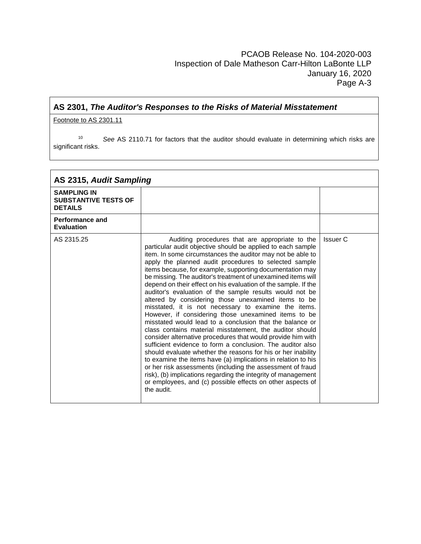# **AS 2301,** *The Auditor's Responses to the Risks of Material Misstatement*

Footnote to AS 2301.11

<sup>10</sup> *See* AS 2110.71 for factors that the auditor should evaluate in determining which risks are significant risks.

| AS 2315, Audit Sampling                                             |                                                                                                                                                                                                                                                                                                                                                                                                                                                                                                                                                                                                                                                                                                                                                                                                                                                                                                                                                                                                                                                                                                                                                                                                                                                                        |          |  |
|---------------------------------------------------------------------|------------------------------------------------------------------------------------------------------------------------------------------------------------------------------------------------------------------------------------------------------------------------------------------------------------------------------------------------------------------------------------------------------------------------------------------------------------------------------------------------------------------------------------------------------------------------------------------------------------------------------------------------------------------------------------------------------------------------------------------------------------------------------------------------------------------------------------------------------------------------------------------------------------------------------------------------------------------------------------------------------------------------------------------------------------------------------------------------------------------------------------------------------------------------------------------------------------------------------------------------------------------------|----------|--|
| <b>SAMPLING IN</b><br><b>SUBSTANTIVE TESTS OF</b><br><b>DETAILS</b> |                                                                                                                                                                                                                                                                                                                                                                                                                                                                                                                                                                                                                                                                                                                                                                                                                                                                                                                                                                                                                                                                                                                                                                                                                                                                        |          |  |
| Performance and<br><b>Evaluation</b>                                |                                                                                                                                                                                                                                                                                                                                                                                                                                                                                                                                                                                                                                                                                                                                                                                                                                                                                                                                                                                                                                                                                                                                                                                                                                                                        |          |  |
| AS 2315.25                                                          | Auditing procedures that are appropriate to the<br>particular audit objective should be applied to each sample<br>item. In some circumstances the auditor may not be able to<br>apply the planned audit procedures to selected sample<br>items because, for example, supporting documentation may<br>be missing. The auditor's treatment of unexamined items will<br>depend on their effect on his evaluation of the sample. If the<br>auditor's evaluation of the sample results would not be<br>altered by considering those unexamined items to be<br>misstated, it is not necessary to examine the items.<br>However, if considering those unexamined items to be<br>misstated would lead to a conclusion that the balance or<br>class contains material misstatement, the auditor should<br>consider alternative procedures that would provide him with<br>sufficient evidence to form a conclusion. The auditor also<br>should evaluate whether the reasons for his or her inability<br>to examine the items have (a) implications in relation to his<br>or her risk assessments (including the assessment of fraud<br>risk), (b) implications regarding the integrity of management<br>or employees, and (c) possible effects on other aspects of<br>the audit. | Issuer C |  |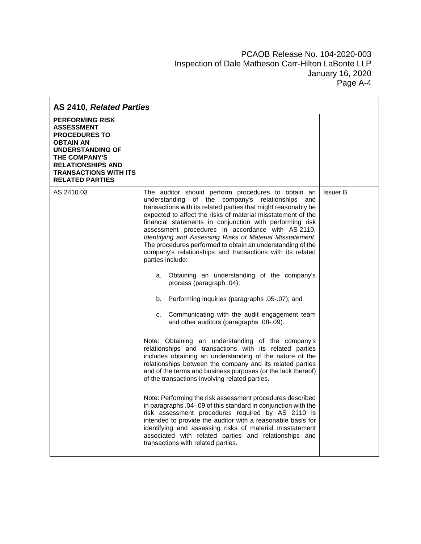| AS 2410, Related Parties                                                                                                                                                                                                  |                                                                                                                                                                                                                                                                                                                                                                                                                                                                                                                                                                                                                                                                                                                                                                                                                                                                                                                                                                                                                                                                                                                                                                                                                                                                                                                                                                                                                                                                                                                                                                                     |                 |
|---------------------------------------------------------------------------------------------------------------------------------------------------------------------------------------------------------------------------|-------------------------------------------------------------------------------------------------------------------------------------------------------------------------------------------------------------------------------------------------------------------------------------------------------------------------------------------------------------------------------------------------------------------------------------------------------------------------------------------------------------------------------------------------------------------------------------------------------------------------------------------------------------------------------------------------------------------------------------------------------------------------------------------------------------------------------------------------------------------------------------------------------------------------------------------------------------------------------------------------------------------------------------------------------------------------------------------------------------------------------------------------------------------------------------------------------------------------------------------------------------------------------------------------------------------------------------------------------------------------------------------------------------------------------------------------------------------------------------------------------------------------------------------------------------------------------------|-----------------|
| <b>PERFORMING RISK</b><br><b>ASSESSMENT</b><br><b>PROCEDURES TO</b><br><b>OBTAIN AN</b><br><b>UNDERSTANDING OF</b><br>THE COMPANY'S<br><b>RELATIONSHIPS AND</b><br><b>TRANSACTIONS WITH ITS</b><br><b>RELATED PARTIES</b> |                                                                                                                                                                                                                                                                                                                                                                                                                                                                                                                                                                                                                                                                                                                                                                                                                                                                                                                                                                                                                                                                                                                                                                                                                                                                                                                                                                                                                                                                                                                                                                                     |                 |
| AS 2410.03                                                                                                                                                                                                                | The auditor should perform procedures to obtain an<br>understanding of the company's relationships<br>and<br>transactions with its related parties that might reasonably be<br>expected to affect the risks of material misstatement of the<br>financial statements in conjunction with performing risk<br>assessment procedures in accordance with AS 2110,<br>Identifying and Assessing Risks of Material Misstatement.<br>The procedures performed to obtain an understanding of the<br>company's relationships and transactions with its related<br>parties include:<br>a. Obtaining an understanding of the company's<br>process (paragraph .04);<br>b. Performing inquiries (paragraphs .05-.07); and<br>c. Communicating with the audit engagement team<br>and other auditors (paragraphs .08-.09).<br>Note: Obtaining an understanding of the company's<br>relationships and transactions with its related parties<br>includes obtaining an understanding of the nature of the<br>relationships between the company and its related parties<br>and of the terms and business purposes (or the lack thereof)<br>of the transactions involving related parties.<br>Note: Performing the risk assessment procedures described<br>in paragraphs .04-.09 of this standard in conjunction with the<br>risk assessment procedures required by AS 2110 is<br>intended to provide the auditor with a reasonable basis for<br>identifying and assessing risks of material misstatement<br>associated with related parties and relationships and<br>transactions with related parties. | <b>Issuer B</b> |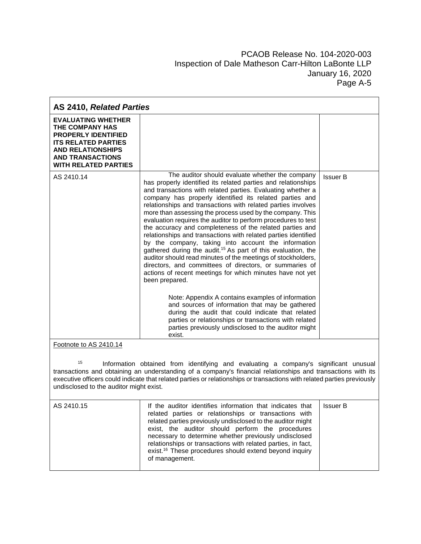| AS 2410, Related Parties                                                                                                                                                                                                                                                                                                                                                         |                                                                                                                                                                                                                                                                                                                                                                                                                                                                                                                                                                                                                                                                                                                                                                                                                                                                                                                                                                                                                                                                                                                                                                                                            |                 |  |
|----------------------------------------------------------------------------------------------------------------------------------------------------------------------------------------------------------------------------------------------------------------------------------------------------------------------------------------------------------------------------------|------------------------------------------------------------------------------------------------------------------------------------------------------------------------------------------------------------------------------------------------------------------------------------------------------------------------------------------------------------------------------------------------------------------------------------------------------------------------------------------------------------------------------------------------------------------------------------------------------------------------------------------------------------------------------------------------------------------------------------------------------------------------------------------------------------------------------------------------------------------------------------------------------------------------------------------------------------------------------------------------------------------------------------------------------------------------------------------------------------------------------------------------------------------------------------------------------------|-----------------|--|
| <b>EVALUATING WHETHER</b><br>THE COMPANY HAS<br><b>PROPERLY IDENTIFIED</b><br><b>ITS RELATED PARTIES</b><br><b>AND RELATIONSHIPS</b><br><b>AND TRANSACTIONS</b><br><b>WITH RELATED PARTIES</b>                                                                                                                                                                                   |                                                                                                                                                                                                                                                                                                                                                                                                                                                                                                                                                                                                                                                                                                                                                                                                                                                                                                                                                                                                                                                                                                                                                                                                            |                 |  |
| AS 2410.14                                                                                                                                                                                                                                                                                                                                                                       | The auditor should evaluate whether the company<br>has properly identified its related parties and relationships<br>and transactions with related parties. Evaluating whether a<br>company has properly identified its related parties and<br>relationships and transactions with related parties involves<br>more than assessing the process used by the company. This<br>evaluation requires the auditor to perform procedures to test<br>the accuracy and completeness of the related parties and<br>relationships and transactions with related parties identified<br>by the company, taking into account the information<br>gathered during the audit. <sup>15</sup> As part of this evaluation, the<br>auditor should read minutes of the meetings of stockholders,<br>directors, and committees of directors, or summaries of<br>actions of recent meetings for which minutes have not yet<br>been prepared.<br>Note: Appendix A contains examples of information<br>and sources of information that may be gathered<br>during the audit that could indicate that related<br>parties or relationships or transactions with related<br>parties previously undisclosed to the auditor might<br>exist. | <b>Issuer B</b> |  |
| Footnote to AS 2410.14                                                                                                                                                                                                                                                                                                                                                           |                                                                                                                                                                                                                                                                                                                                                                                                                                                                                                                                                                                                                                                                                                                                                                                                                                                                                                                                                                                                                                                                                                                                                                                                            |                 |  |
| 15<br>Information obtained from identifying and evaluating a company's significant unusual<br>transactions and obtaining an understanding of a company's financial relationships and transactions with its<br>executive officers could indicate that related parties or relationships or transactions with related parties previously<br>undisclosed to the auditor might exist. |                                                                                                                                                                                                                                                                                                                                                                                                                                                                                                                                                                                                                                                                                                                                                                                                                                                                                                                                                                                                                                                                                                                                                                                                            |                 |  |
| AS 2410.15                                                                                                                                                                                                                                                                                                                                                                       | If the auditor identifies information that indicates that<br>related parties or relationships or transactions with<br>related parties previously undisclosed to the auditor might<br>exist, the auditor should perform the procedures<br>necessary to determine whether previously undisclosed<br>relationships or transactions with related parties, in fact,<br>exist. <sup>16</sup> These procedures should extend beyond inquiry<br>of management.                                                                                                                                                                                                                                                                                                                                                                                                                                                                                                                                                                                                                                                                                                                                                     | Issuer B        |  |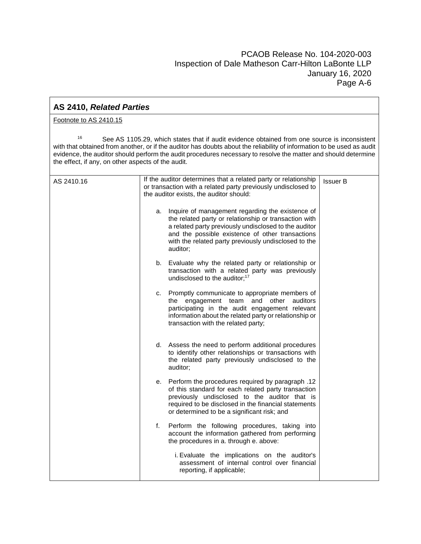| <b>AS 2410, Related Parties</b>                                                                                                                                                                                                                                                                                                                                                                      |                                                                                                                                                                                                                                                                                                  |  |  |  |
|------------------------------------------------------------------------------------------------------------------------------------------------------------------------------------------------------------------------------------------------------------------------------------------------------------------------------------------------------------------------------------------------------|--------------------------------------------------------------------------------------------------------------------------------------------------------------------------------------------------------------------------------------------------------------------------------------------------|--|--|--|
| Footnote to AS 2410.15                                                                                                                                                                                                                                                                                                                                                                               |                                                                                                                                                                                                                                                                                                  |  |  |  |
| 16<br>See AS 1105.29, which states that if audit evidence obtained from one source is inconsistent<br>with that obtained from another, or if the auditor has doubts about the reliability of information to be used as audit<br>evidence, the auditor should perform the audit procedures necessary to resolve the matter and should determine<br>the effect, if any, on other aspects of the audit. |                                                                                                                                                                                                                                                                                                  |  |  |  |
| AS 2410.16                                                                                                                                                                                                                                                                                                                                                                                           | If the auditor determines that a related party or relationship<br><b>Issuer B</b><br>or transaction with a related party previously undisclosed to<br>the auditor exists, the auditor should:                                                                                                    |  |  |  |
|                                                                                                                                                                                                                                                                                                                                                                                                      | Inquire of management regarding the existence of<br>а.<br>the related party or relationship or transaction with<br>a related party previously undisclosed to the auditor<br>and the possible existence of other transactions<br>with the related party previously undisclosed to the<br>auditor; |  |  |  |
|                                                                                                                                                                                                                                                                                                                                                                                                      | b.<br>Evaluate why the related party or relationship or<br>transaction with a related party was previously<br>undisclosed to the auditor; <sup>17</sup>                                                                                                                                          |  |  |  |
|                                                                                                                                                                                                                                                                                                                                                                                                      | Promptly communicate to appropriate members of<br>c.<br>the<br>engagement team<br>and<br>other<br>auditors<br>participating in the audit engagement relevant<br>information about the related party or relationship or<br>transaction with the related party;                                    |  |  |  |
|                                                                                                                                                                                                                                                                                                                                                                                                      | d. Assess the need to perform additional procedures<br>to identify other relationships or transactions with<br>the related party previously undisclosed to the<br>auditor;                                                                                                                       |  |  |  |
|                                                                                                                                                                                                                                                                                                                                                                                                      | e. Perform the procedures required by paragraph .12<br>of this standard for each related party transaction<br>previously undisclosed to the auditor that is<br>required to be disclosed in the financial statements<br>or determined to be a significant risk; and                               |  |  |  |
|                                                                                                                                                                                                                                                                                                                                                                                                      | Perform the following procedures, taking into<br>f.<br>account the information gathered from performing<br>the procedures in a. through e. above:                                                                                                                                                |  |  |  |
|                                                                                                                                                                                                                                                                                                                                                                                                      | i. Evaluate the implications on the auditor's<br>assessment of internal control over financial<br>reporting, if applicable;                                                                                                                                                                      |  |  |  |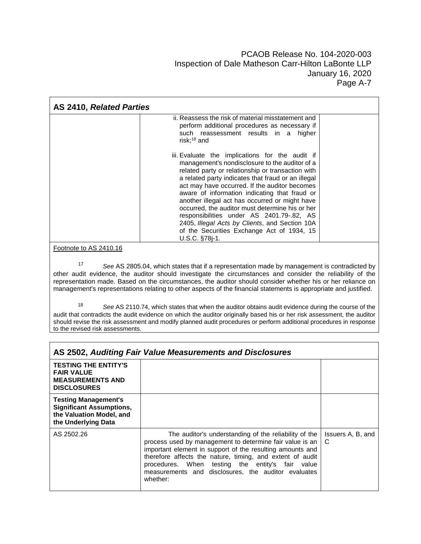| AS 2410, Related Parties |                                                                                                                                                                                                                                                                                                                                                                                                                                                                                                                                                                                             |  |  |
|--------------------------|---------------------------------------------------------------------------------------------------------------------------------------------------------------------------------------------------------------------------------------------------------------------------------------------------------------------------------------------------------------------------------------------------------------------------------------------------------------------------------------------------------------------------------------------------------------------------------------------|--|--|
|                          | ii. Reassess the risk of material misstatement and<br>perform additional procedures as necessary if<br>such reassessment results in a higher<br>risk; $18$ and                                                                                                                                                                                                                                                                                                                                                                                                                              |  |  |
|                          | iii. Evaluate the implications for the audit if<br>management's nondisclosure to the auditor of a<br>related party or relationship or transaction with<br>a related party indicates that fraud or an illegal<br>act may have occurred. If the auditor becomes<br>aware of information indicating that fraud or<br>another illegal act has occurred or might have<br>occurred, the auditor must determine his or her<br>responsibilities under AS 2401.79-.82, AS<br>2405, Illegal Acts by Clients, and Section 10A<br>of the Securities Exchange Act of 1934, 15<br>U.S.C. §78 <i>j</i> -1. |  |  |

### Footnote to AS 2410.16

[17](https://pcaobus.org/Standards/Auditing/Pages/AS2410.aspx#_ftnref17) *See* AS 2805.04, which states that if a representation made by management is contradicted by other audit evidence, the auditor should investigate the circumstances and consider the reliability of the representation made. Based on the circumstances, the auditor should consider whether his or her reliance on management's representations relating to other aspects of the financial statements is appropriate and justified.

[18](https://pcaobus.org/Standards/Auditing/Pages/AS2410.aspx#_ftnref18) *See* AS 2110.74, which states that when the auditor obtains audit evidence during the course of the audit that contradicts the audit evidence on which the auditor originally based his or her risk assessment, the auditor should revise the risk assessment and modify planned audit procedures or perform additional procedures in response to the revised risk assessments.

| AS 2502, Auditing Fair Value Measurements and Disclosures                                                         |                                                                                                                                                                                                                                                                                                                                                                    |                          |
|-------------------------------------------------------------------------------------------------------------------|--------------------------------------------------------------------------------------------------------------------------------------------------------------------------------------------------------------------------------------------------------------------------------------------------------------------------------------------------------------------|--------------------------|
| <b>TESTING THE ENTITY'S</b><br><b>FAIR VALUE</b><br><b>MEASUREMENTS AND</b><br><b>DISCLOSURES</b>                 |                                                                                                                                                                                                                                                                                                                                                                    |                          |
| <b>Testing Management's</b><br><b>Significant Assumptions,</b><br>the Valuation Model, and<br>the Underlying Data |                                                                                                                                                                                                                                                                                                                                                                    |                          |
| AS 2502.26                                                                                                        | The auditor's understanding of the reliability of the<br>process used by management to determine fair value is an<br>important element in support of the resulting amounts and<br>therefore affects the nature, timing, and extent of audit<br>procedures. When testing the entity's fair value<br>measurements and disclosures, the auditor evaluates<br>whether: | Issuers A, B, and<br>C C |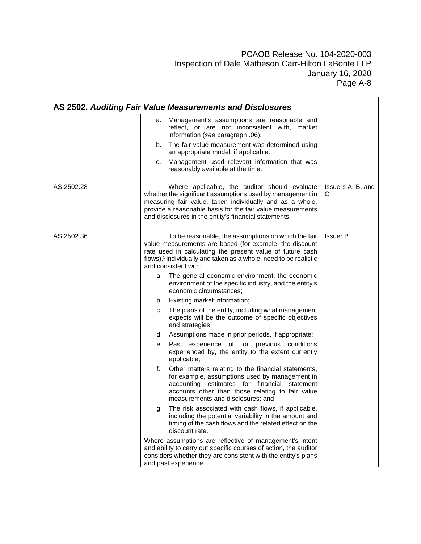|            |                | AS 2502, Auditing Fair Value Measurements and Disclosures                                                                                                                                                                                                                                                         |                        |
|------------|----------------|-------------------------------------------------------------------------------------------------------------------------------------------------------------------------------------------------------------------------------------------------------------------------------------------------------------------|------------------------|
|            | a.<br>b.<br>c. | Management's assumptions are reasonable and<br>reflect, or are not inconsistent with, market<br>information (see paragraph .06).<br>The fair value measurement was determined using<br>an appropriate model, if applicable.<br>Management used relevant information that was<br>reasonably available at the time. |                        |
| AS 2502.28 |                | Where applicable, the auditor should evaluate<br>whether the significant assumptions used by management in<br>measuring fair value, taken individually and as a whole,<br>provide a reasonable basis for the fair value measurements<br>and disclosures in the entity's financial statements.                     | Issuers A, B, and<br>C |
| AS 2502.36 |                | To be reasonable, the assumptions on which the fair<br>value measurements are based (for example, the discount<br>rate used in calculating the present value of future cash<br>flows), <sup>5</sup> individually and taken as a whole, need to be realistic<br>and consistent with:                               | <b>Issuer B</b>        |
|            | а.             | The general economic environment, the economic<br>environment of the specific industry, and the entity's<br>economic circumstances;                                                                                                                                                                               |                        |
|            |                | b. Existing market information;                                                                                                                                                                                                                                                                                   |                        |
|            | c.             | The plans of the entity, including what management<br>expects will be the outcome of specific objectives<br>and strategies;                                                                                                                                                                                       |                        |
|            |                | d. Assumptions made in prior periods, if appropriate;                                                                                                                                                                                                                                                             |                        |
|            |                | e. Past experience of, or previous conditions<br>experienced by, the entity to the extent currently<br>applicable;                                                                                                                                                                                                |                        |
|            | f.             | Other matters relating to the financial statements,<br>for example, assumptions used by management in<br>accounting estimates for financial statement<br>accounts other than those relating to fair value<br>measurements and disclosures; and                                                                    |                        |
|            |                | The risk associated with cash flows, if applicable,<br>including the potential variability in the amount and<br>timing of the cash flows and the related effect on the<br>discount rate.                                                                                                                          |                        |
|            |                | Where assumptions are reflective of management's intent<br>and ability to carry out specific courses of action, the auditor<br>considers whether they are consistent with the entity's plans<br>and past experience.                                                                                              |                        |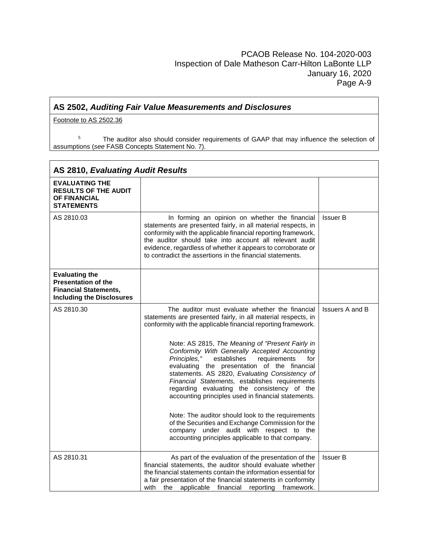# **AS 2502,** *Auditing Fair Value Measurements and Disclosures*

Footnote to AS 2502.36

 $5$  The auditor also should consider requirements of GAAP that may influence the selection of assumptions (*see* FASB Concepts Statement No. 7).

| <b>AS 2810, Evaluating Audit Results</b>                                                                                |                                                                                                                                                                                                                                                                                                                                                                                                                                                                                                                                                                                                                                                                                                                                                                                                                  |                        |  |  |
|-------------------------------------------------------------------------------------------------------------------------|------------------------------------------------------------------------------------------------------------------------------------------------------------------------------------------------------------------------------------------------------------------------------------------------------------------------------------------------------------------------------------------------------------------------------------------------------------------------------------------------------------------------------------------------------------------------------------------------------------------------------------------------------------------------------------------------------------------------------------------------------------------------------------------------------------------|------------------------|--|--|
| <b>EVALUATING THE</b><br><b>RESULTS OF THE AUDIT</b><br><b>OF FINANCIAL</b><br><b>STATEMENTS</b>                        |                                                                                                                                                                                                                                                                                                                                                                                                                                                                                                                                                                                                                                                                                                                                                                                                                  |                        |  |  |
| AS 2810.03                                                                                                              | In forming an opinion on whether the financial<br>statements are presented fairly, in all material respects, in<br>conformity with the applicable financial reporting framework,<br>the auditor should take into account all relevant audit<br>evidence, regardless of whether it appears to corroborate or<br>to contradict the assertions in the financial statements.                                                                                                                                                                                                                                                                                                                                                                                                                                         | <b>Issuer B</b>        |  |  |
| <b>Evaluating the</b><br><b>Presentation of the</b><br><b>Financial Statements,</b><br><b>Including the Disclosures</b> |                                                                                                                                                                                                                                                                                                                                                                                                                                                                                                                                                                                                                                                                                                                                                                                                                  |                        |  |  |
| AS 2810.30                                                                                                              | The auditor must evaluate whether the financial<br>statements are presented fairly, in all material respects, in<br>conformity with the applicable financial reporting framework.<br>Note: AS 2815, The Meaning of "Present Fairly in<br>Conformity With Generally Accepted Accounting<br>Principles,"<br>establishes<br>requirements<br>for<br>evaluating the presentation of the financial<br>statements. AS 2820, Evaluating Consistency of<br>Financial Statements, establishes requirements<br>regarding evaluating the consistency of the<br>accounting principles used in financial statements.<br>Note: The auditor should look to the requirements<br>of the Securities and Exchange Commission for the<br>company under audit with respect to the<br>accounting principles applicable to that company. | <b>Issuers A and B</b> |  |  |
| AS 2810.31                                                                                                              | As part of the evaluation of the presentation of the<br>financial statements, the auditor should evaluate whether<br>the financial statements contain the information essential for<br>a fair presentation of the financial statements in conformity<br>with<br>the<br>applicable financial reporting framework.                                                                                                                                                                                                                                                                                                                                                                                                                                                                                                 | <b>Issuer B</b>        |  |  |